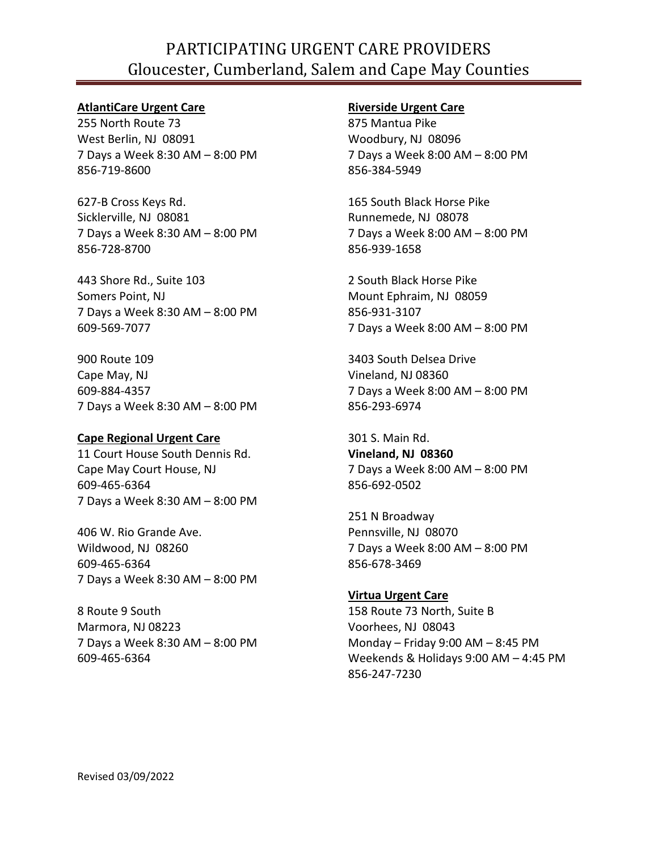## PARTICIPATING URGENT CARE PROVIDERS Gloucester, Cumberland, Salem and Cape May Counties

#### **AtlantiCare Urgent Care**

255 North Route 73 West Berlin, NJ 08091 7 Days a Week 8:30 AM – 8:00 PM 856-719-8600

627-B Cross Keys Rd. Sicklerville, NJ 08081 7 Days a Week 8:30 AM – 8:00 PM 856-728-8700

443 Shore Rd., Suite 103 Somers Point, NJ 7 Days a Week 8:30 AM – 8:00 PM 609-569-7077

900 Route 109 Cape May, NJ 609-884-4357 7 Days a Week 8:30 AM – 8:00 PM

## **Cape Regional Urgent Care**

11 Court House South Dennis Rd. Cape May Court House, NJ 609-465-6364 7 Days a Week 8:30 AM – 8:00 PM

406 W. Rio Grande Ave. Wildwood, NJ 08260 609-465-6364 7 Days a Week 8:30 AM – 8:00 PM

8 Route 9 South Marmora, NJ 08223 7 Days a Week 8:30 AM – 8:00 PM 609-465-6364

#### **Riverside Urgent Care**

875 Mantua Pike Woodbury, NJ 08096 7 Days a Week 8:00 AM – 8:00 PM 856-384-5949

165 South Black Horse Pike Runnemede, NJ 08078 7 Days a Week 8:00 AM – 8:00 PM 856-939-1658

2 South Black Horse Pike Mount Ephraim, NJ 08059 856-931-3107 7 Days a Week 8:00 AM – 8:00 PM

3403 South Delsea Drive Vineland, NJ 08360 7 Days a Week 8:00 AM – 8:00 PM 856-293-6974

301 S. Main Rd. **Vineland, NJ 08360** 7 Days a Week 8:00 AM – 8:00 PM 856-692-0502

251 N Broadway Pennsville, NJ 08070 7 Days a Week 8:00 AM – 8:00 PM 856-678-3469

**Virtua Urgent Care** 158 Route 73 North, Suite B Voorhees, NJ 08043 Monday – Friday 9:00 AM – 8:45 PM Weekends & Holidays 9:00 AM – 4:45 PM 856-247-7230